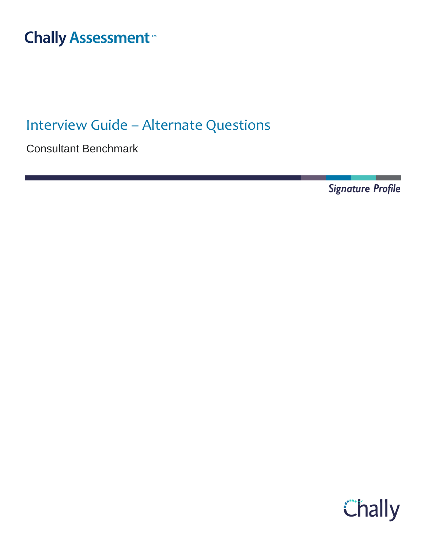### Interview Guide – Alternate Thall

Interview Guide – Alternate Questions

Consultant Benchmark

**Signature Profile** 

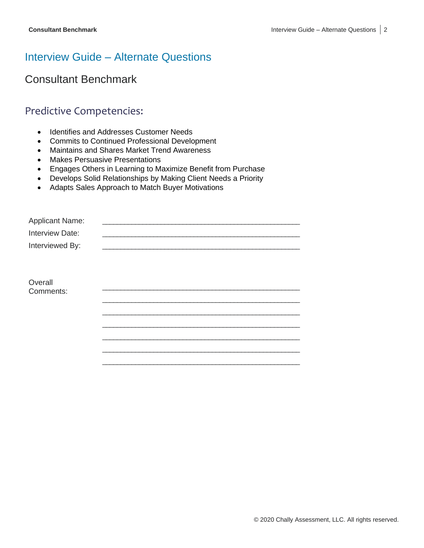# Interview Guide – Alternate Questions

Consultant Benchmark

### Predictive Competencies:

- Identifies and Addresses Customer Needs
- Commits to Continued Professional Development
- Maintains and Shares Market Trend Awareness
- Makes Persuasive Presentations
- Engages Others in Learning to Maximize Benefit from Purchase
- Develops Solid Relationships by Making Client Needs a Priority
- Adapts Sales Approach to Match Buyer Motivations

| <b>Applicant Name:</b> |  |
|------------------------|--|
| Interview Date:        |  |
| Interviewed By:        |  |
|                        |  |
|                        |  |
| Overall                |  |
| Comments:              |  |
|                        |  |
|                        |  |
|                        |  |
|                        |  |
|                        |  |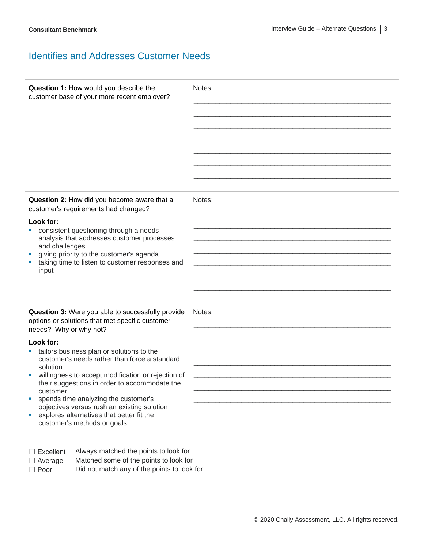### Identifies and Addresses Customer Needs

| Question 1: How would you describe the<br>customer base of your more recent employer?                                                                                                                                                                                                                                                                                                                                                                                                                                                            | Notes: |
|--------------------------------------------------------------------------------------------------------------------------------------------------------------------------------------------------------------------------------------------------------------------------------------------------------------------------------------------------------------------------------------------------------------------------------------------------------------------------------------------------------------------------------------------------|--------|
| Question 2: How did you become aware that a<br>customer's requirements had changed?<br>Look for:<br>consistent questioning through a needs<br>analysis that addresses customer processes<br>and challenges<br>giving priority to the customer's agenda<br>taking time to listen to customer responses and<br>input                                                                                                                                                                                                                               | Notes: |
| Question 3: Were you able to successfully provide<br>options or solutions that met specific customer<br>needs? Why or why not?<br>Look for:<br>tailors business plan or solutions to the<br>customer's needs rather than force a standard<br>solution<br>willingness to accept modification or rejection of<br>their suggestions in order to accommodate the<br>customer<br>spends time analyzing the customer's<br>objectives versus rush an existing solution<br>explores alternatives that better fit the<br>ш<br>customer's methods or goals | Notes: |

□ Excellent | Always matched the points to look for  $\Box$  Average | Matched some of the points to look for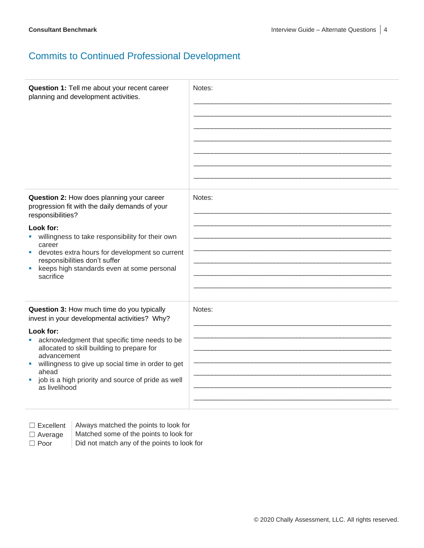## Commits to Continued Professional Development

| Question 1: Tell me about your recent career<br>planning and development activities.                                                                                                                                                                  | Notes: |
|-------------------------------------------------------------------------------------------------------------------------------------------------------------------------------------------------------------------------------------------------------|--------|
| Question 2: How does planning your career<br>progression fit with the daily demands of your<br>responsibilities?                                                                                                                                      | Notes: |
| Look for:<br>willingness to take responsibility for their own<br>career<br>devotes extra hours for development so current<br>ш<br>responsibilities don't suffer<br>keeps high standards even at some personal<br>sacrifice                            |        |
| Question 3: How much time do you typically<br>invest in your developmental activities? Why?<br>Look for:                                                                                                                                              | Notes: |
| acknowledgment that specific time needs to be<br>allocated to skill building to prepare for<br>advancement<br>willingness to give up social time in order to get<br>ш<br>ahead<br>job is a high priority and source of pride as well<br>as livelihood |        |

□ Excellent | Always matched the points to look for

 $\Box$  Average  $\parallel$  Matched some of the points to look for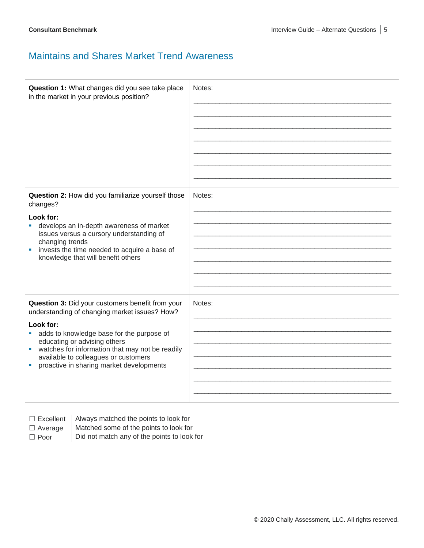### Maintains and Shares Market Trend Awareness

| Question 1: What changes did you see take place<br>in the market in your previous position?                                                                                                                                   | Notes: |
|-------------------------------------------------------------------------------------------------------------------------------------------------------------------------------------------------------------------------------|--------|
| Question 2: How did you familiarize yourself those<br>changes?                                                                                                                                                                | Notes: |
| Look for:<br>develops an in-depth awareness of market<br>issues versus a cursory understanding of<br>changing trends<br>invests the time needed to acquire a base of<br>×<br>knowledge that will benefit others               |        |
| Question 3: Did your customers benefit from your<br>understanding of changing market issues? How?                                                                                                                             | Notes: |
| Look for:<br>adds to knowledge base for the purpose of<br>educating or advising others<br>watches for information that may not be readily<br>available to colleagues or customers<br>proactive in sharing market developments |        |

 $\Box$  Excellent  $\parallel$  Always matched the points to look for

 $\Box$  Average  $\parallel$  Matched some of the points to look for  $\Box$  Poor  $\Box$  Did not match any of the points to look for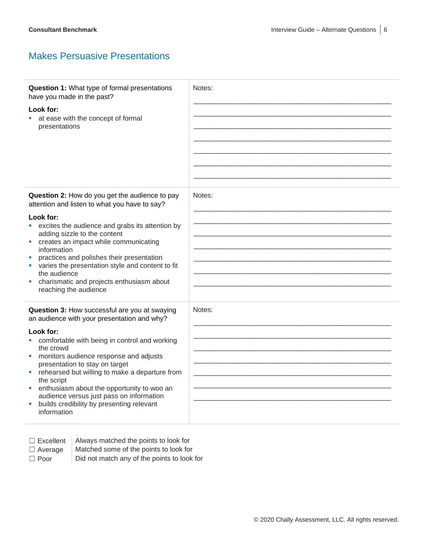### Makes Persuasive Presentations

| Question 1: What type of formal presentations<br>have you made in the past?<br>Look for:<br>at ease with the concept of formal<br>presentations                                                                                                                                                                                                                                                                                                                                | Notes: |
|--------------------------------------------------------------------------------------------------------------------------------------------------------------------------------------------------------------------------------------------------------------------------------------------------------------------------------------------------------------------------------------------------------------------------------------------------------------------------------|--------|
| Question 2: How do you get the audience to pay<br>attention and listen to what you have to say?<br>Look for:<br>excites the audience and grabs its attention by<br>adding sizzle to the content<br>creates an impact while communicating<br>ш<br>information<br>practices and polishes their presentation<br>varies the presentation style and content to fit<br>the audience<br>charismatic and projects enthusiasm about<br>reaching the audience                            | Notes: |
| Question 3: How successful are you at swaying<br>an audience with your presentation and why?<br>Look for:<br>comfortable with being in control and working<br>the crowd<br>monitors audience response and adjusts<br>presentation to stay on target<br>rehearsed but willing to make a departure from<br>the script<br>enthusiasm about the opportunity to woo an<br>audience versus just pass on information<br>builds credibility by presenting relevant<br>ш<br>information | Notes: |

 $\Box$  Excellent | Always matched the points to look for

- $\Box$  Average  $\parallel$  Matched some of the points to look for
- $\Box$  Poor  $\Box$  Did not match any of the points to look for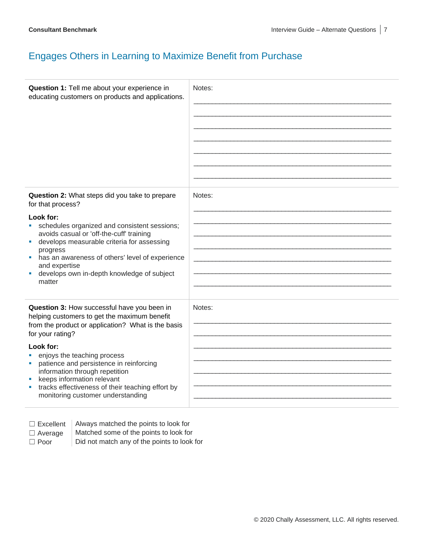### Engages Others in Learning to Maximize Benefit from Purchase

| Question 1: Tell me about your experience in<br>educating customers on products and applications.                                                                                                                                                                                                                                                                                                                          | Notes: |
|----------------------------------------------------------------------------------------------------------------------------------------------------------------------------------------------------------------------------------------------------------------------------------------------------------------------------------------------------------------------------------------------------------------------------|--------|
| Question 2: What steps did you take to prepare<br>for that process?<br>Look for:<br>schedules organized and consistent sessions;<br>٠<br>avoids casual or 'off-the-cuff' training<br>develops measurable criteria for assessing<br>progress<br>has an awareness of others' level of experience<br>ш<br>and expertise<br>develops own in-depth knowledge of subject<br>matter                                               | Notes: |
| Question 3: How successful have you been in<br>helping customers to get the maximum benefit<br>from the product or application? What is the basis<br>for your rating?<br>Look for:<br>enjoys the teaching process<br>patience and persistence in reinforcing<br>ш<br>information through repetition<br>keeps information relevant<br>tracks effectiveness of their teaching effort by<br>monitoring customer understanding | Notes: |

| -xcellent |
|-----------|
|-----------|

Always matched the points to look for

- $\Box$  Average  $\parallel$  Matched some of the points to look for
- $\Box$  Poor  $\Box$  Did not match any of the points to look for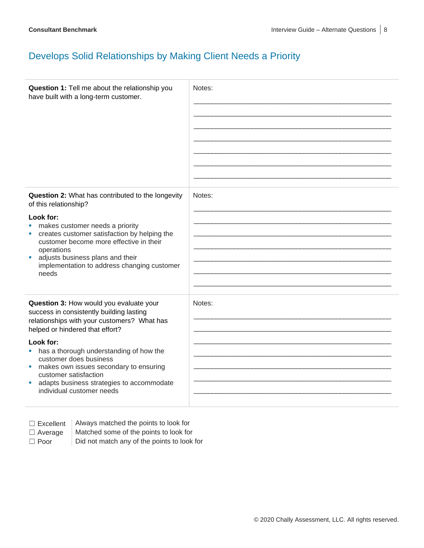## Develops Solid Relationships by Making Client Needs a Priority

| Question 1: Tell me about the relationship you<br>have built with a long-term customer.                                                                                                                                                                                       | Notes: |
|-------------------------------------------------------------------------------------------------------------------------------------------------------------------------------------------------------------------------------------------------------------------------------|--------|
| Question 2: What has contributed to the longevity<br>of this relationship?                                                                                                                                                                                                    | Notes: |
| Look for:<br>makes customer needs a priority<br>$\blacksquare$<br>creates customer satisfaction by helping the<br>ш<br>customer become more effective in their<br>operations<br>adjusts business plans and their<br>×<br>implementation to address changing customer<br>needs |        |
| Question 3: How would you evaluate your<br>success in consistently building lasting<br>relationships with your customers? What has<br>helped or hindered that effort?                                                                                                         | Notes: |
| Look for:<br>has a thorough understanding of how the<br>customer does business<br>makes own issues secondary to ensuring<br>×.<br>customer satisfaction<br>adapts business strategies to accommodate<br>ш<br>individual customer needs                                        |        |

| $\Box$ Excellent |  |  |  |
|------------------|--|--|--|
|------------------|--|--|--|

Always matched the points to look for

 $\Box$  Average  $\parallel$  Matched some of the points to look for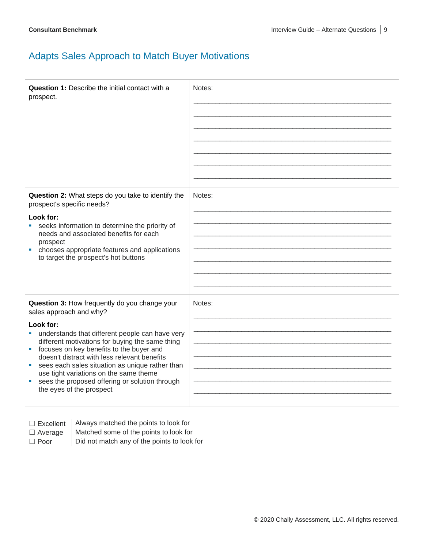## Adapts Sales Approach to Match Buyer Motivations

| <b>Question 1:</b> Describe the initial contact with a<br>prospect.                                                                                                                                                                                                                                                                                                                                                                                                             | Notes: |
|---------------------------------------------------------------------------------------------------------------------------------------------------------------------------------------------------------------------------------------------------------------------------------------------------------------------------------------------------------------------------------------------------------------------------------------------------------------------------------|--------|
| Question 2: What steps do you take to identify the<br>prospect's specific needs?<br>Look for:<br>seeks information to determine the priority of<br>needs and associated benefits for each<br>prospect<br>chooses appropriate features and applications<br>ш<br>to target the prospect's hot buttons                                                                                                                                                                             | Notes: |
| Question 3: How frequently do you change your<br>sales approach and why?<br>Look for:<br>• understands that different people can have very<br>different motivations for buying the same thing<br>focuses on key benefits to the buyer and<br>a.<br>doesn't distract with less relevant benefits<br>sees each sales situation as unique rather than<br>use tight variations on the same theme<br>sees the proposed offering or solution through<br>ш<br>the eyes of the prospect | Notes: |

Always matched the points to look for

 $\Box$  Average  $\parallel$  Matched some of the points to look for